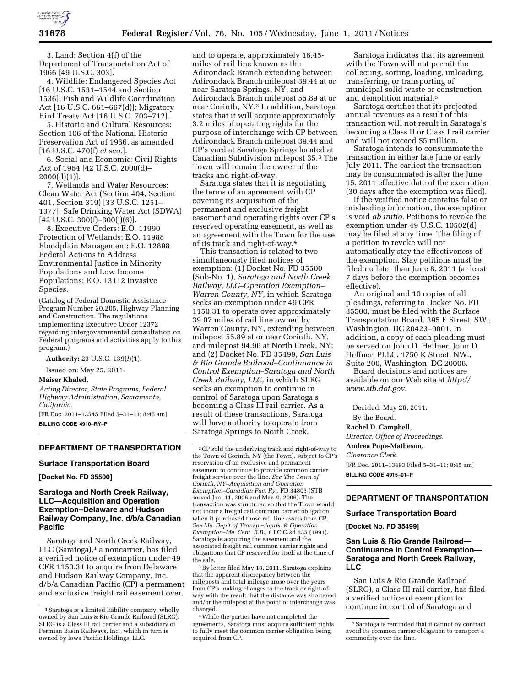

3. Land: Section 4(f) of the Department of Transportation Act of 1966 [49 U.S.C. 303].

4. Wildlife: Endangered Species Act [16 U.S.C. 1531–1544 and Section 1536]; Fish and Wildlife Coordination Act [16 U.S.C. 661–667(d)]; Migratory Bird Treaty Act [16 U.S.C. 703–712].

5. Historic and Cultural Resources: Section 106 of the National Historic Preservation Act of 1966, as amended [16 U.S.C. 470(f) *et seq.*].

6. Social and Economic: Civil Rights Act of 1964 [42 U.S.C. 2000(d)–  $2000(d)(1)$ ].

7. Wetlands and Water Resources: Clean Water Act (Section 404, Section 401, Section 319) [33 U.S.C. 1251– 1377]; Safe Drinking Water Act (SDWA)  $[42 \text{ U.S.C. } 300 \text{ (f)} - 300 \text{ (j)} \text{ (6)}]$ .

8. Executive Orders: E.O. 11990 Protection of Wetlands; E.O. 11988 Floodplain Management; E.O. 12898 Federal Actions to Address Environmental Justice in Minority Populations and Low Income Populations; E.O. 13112 Invasive Species.

(Catalog of Federal Domestic Assistance Program Number 20.205, Highway Planning and Construction. The regulations implementing Executive Order 12372 regarding intergovernmental consultation on Federal programs and activities apply to this program.)

**Authority:** 23 U.S.C. 139(*l*)(1).

Issued on: May 25, 2011.

## **Maiser Khaled,**

*Acting Director, State Programs, Federal Highway Administration, Sacramento, California.* 

[FR Doc. 2011–13545 Filed 5–31–11; 8:45 am] **BILLING CODE 4910–RY–P** 

## **DEPARTMENT OF TRANSPORTATION**

#### **Surface Transportation Board**

**[Docket No. FD 35500]** 

## **Saratoga and North Creek Railway, LLC—Acquisition and Operation Exemption–Delaware and Hudson Railway Company, Inc. d/b/a Canadian Pacific**

Saratoga and North Creek Railway, LLC (Saratoga),<sup>1</sup> a noncarrier, has filed a verified notice of exemption under 49 CFR 1150.31 to acquire from Delaware and Hudson Railway Company, Inc. d/b/a Canadian Pacific (CP) a permanent and exclusive freight rail easement over,

and to operate, approximately 16.45 miles of rail line known as the Adirondack Branch extending between Adirondack Branch milepost 39.44 at or near Saratoga Springs, NY, and Adirondack Branch milepost 55.89 at or near Corinth, NY.2 In addition, Saratoga states that it will acquire approximately 3.2 miles of operating rights for the purpose of interchange with CP between Adirondack Branch milepost 39.44 and CP's yard at Saratoga Springs located at Canadian Subdivision milepost 35.3 The Town will remain the owner of the tracks and right-of-way.

Saratoga states that it is negotiating the terms of an agreement with CP covering its acquisition of the permanent and exclusive freight easement and operating rights over CP's reserved operating easement, as well as an agreement with the Town for the use of its track and right-of-way.4

This transaction is related to two simultaneously filed notices of exemption: (1) Docket No. FD 35500 (Sub-No. 1), *Saratoga and North Creek Railway, LLC–Operation Exemption– Warren County, NY,* in which Saratoga seeks an exemption under 49 CFR 1150.31 to operate over approximately 39.07 miles of rail line owned by Warren County, NY, extending between milepost 55.89 at or near Corinth, NY, and milepost 94.96 at North Creek, NY; and (2) Docket No. FD 35499, *San Luis & Rio Grande Railroad–Continuance in Control Exemption–Saratoga and North Creek Railway, LLC,* in which SLRG seeks an exemption to continue in control of Saratoga upon Saratoga's becoming a Class III rail carrier. As a result of these transactions, Saratoga will have authority to operate from Saratoga Springs to North Creek.

3By letter filed May 18, 2011, Saratoga explains that the apparent discrepancy between the mileposts and total mileage arose over the years from CP's making changes to the track or right-ofway with the result that the distance was shortened and/or the milepost at the point of interchange was changed.

4While the parties have not completed the agreements, Saratoga must acquire sufficient rights to fully meet the common carrier obligation being acquired from CP.

Saratoga indicates that its agreement with the Town will not permit the collecting, sorting, loading, unloading, transferring, or transporting of municipal solid waste or construction and demolition material.5

Saratoga certifies that its projected annual revenues as a result of this transaction will not result in Saratoga's becoming a Class II or Class I rail carrier and will not exceed \$5 million.

Saratoga intends to consummate the transaction in either late June or early July 2011. The earliest the transaction may be consummated is after the June 15, 2011 effective date of the exemption (30 days after the exemption was filed).

If the verified notice contains false or misleading information, the exemption is void *ab initio.* Petitions to revoke the exemption under 49 U.S.C. 10502(d) may be filed at any time. The filing of a petition to revoke will not automatically stay the effectiveness of the exemption. Stay petitions must be filed no later than June 8, 2011 (at least 7 days before the exemption becomes effective).

An original and 10 copies of all pleadings, referring to Docket No. FD 35500, must be filed with the Surface Transportation Board, 395 E Street, SW., Washington, DC 20423–0001. In addition, a copy of each pleading must be served on John D. Heffner, John D. Heffner, PLLC, 1750 K Street, NW., Suite 200, Washington, DC 20006.

Board decisions and notices are available on our Web site at *[http://](http://www.stb.dot.gov) [www.stb.dot.gov.](http://www.stb.dot.gov)* 

Decided: May 26, 2011.

By the Board.

#### **Rachel D. Campbell,**

*Director, Office of Proceedings.* 

**Andrea Pope-Matheson,** 

## *Clearance Clerk.*

[FR Doc. 2011–13493 Filed 5–31–11; 8:45 am] **BILLING CODE 4915–01–P** 

## **DEPARTMENT OF TRANSPORTATION**

#### **Surface Transportation Board**

**[Docket No. FD 35499]** 

## **San Luis & Rio Grande Railroad— Continuance in Control Exemption— Saratoga and North Creek Railway, LLC**

San Luis & Rio Grande Railroad (SLRG), a Class III rail carrier, has filed a verified notice of exemption to continue in control of Saratoga and

<sup>&</sup>lt;sup>1</sup> Saratoga is a limited liability company, wholly owned by San Luis & Rio Grande Railroad (SLRG). SLRG is a Class III rail carrier and a subsidiary of Permian Basin Railways, Inc., which in turn is owned by Iowa Pacific Holdings, LLC.

<sup>2</sup>CP sold the underlying track and right-of-way to the Town of Corinth, NY (the Town), subject to CP's reservation of an exclusive and permanent easement to continue to provide common carrier freight service over the line. *See The Town of Corinth, NY–Acquisition and Operation Exemption–Canadian Pac. Ry.,* FD 34803 (STB served Jan. 11, 2006 and Mar. 9, 2006). The transaction was structured so that the Town would not incur a freight rail common carrier obligation when it purchased those rail line assets from CP. *See Me. Dep't of Transp.–Aquis. & Operation Exemption–Me. Cent. R.R.,* 8 I.C.C.2d 835 (1991). Saratoga is acquiring the easement and the associated freight rail common carrier rights and obligations that CP reserved for itself at the time of the sale.

<sup>5</sup>Saratoga is reminded that it cannot by contract avoid its common carrier obligation to transport a commodity over the line.